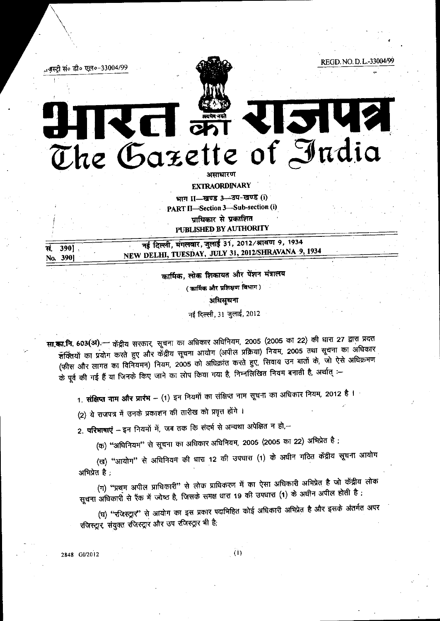REGD. NO. D. L.-33004/99 ाजस्ट्री सं० डी० एल०-33004/99 2142 くける The Gazette of India अमाधारण

> **EXTRAORDINARY** भाग II-खण्ड 3-उप-खण्ड (i) PART II-Section 3-Sub-section (i) पाधिकार से प्रकाशित PUBLISHED BY AUTHORITY

नई दिल्ली, मंगलवार, जुलाई 31, 2012/श्रावण 9, 1934 390] सं. NEW DELHI, TUESDAY, JULY 31, 2012/SHRAVANA 9, 1934 No. 390]

> कार्मिक, लोक शिकायत और पेंशन मंत्रालय (कार्मिक और प्रशिक्षण विभाग) अधिसूचना

नई दिल्ली, 31 जुलाई, 2012

सा.का.नि. 603(अ).— केंद्रीय सरकार सूचना का अधिकार अधिनियम, 2005 (2005 का 22) की धारा 27 द्वारा प्रदत्त र्शक्तियों का प्रयोग करते हुए और केंद्रीय सूचना आयोग (अपील प्रक्रिया) नियम, 2005 तथा सूचना का अधिकार (फीस और लागत का विनियमन) नियम, 2005 को अधिक्रांत करते हुए, सिवाय उन बातों के, जो ऐसे अधिक्रमण के पूर्व की गई हैं या जिनके किए जाने का लोप किया गया है, निम्नलिखित नियम बनाती है, अर्थात् :-

1. **संक्षिप्त नाम और प्रारंभ** – (1) इन नियमों का संक्षिप्त नाम सूचना का अधिकार नियम, 2012 है ।

(2) ये राजपत्र में उनके प्रकाशन की तारीख को प्रवृत्त होंगे ।

2. परिभाषाएं – इन नियमों में, जब तक कि संदर्म से अन्यथा अपेक्षित न हो,–

(क) "अधिनियम" से सूचना का अधिकार अधिनियम, 2005 (2005 का 22) अभिप्रेत है;

(ख) "आयोग" से अधिनियम की धारा 12 की उपधारा (1) के अधीन गठित केंद्रीय सूचना आयोग अभिप्रेत है:

(ग) "प्रथम अपील प्राधिकारी" से लोक प्राधिकरण में का ऐसा अधिकारी अभिप्रेत है जो केंद्रीय लोक सूचना अधिकारी से रैंक में ज्येष्ठ है, जिसके समक्ष धारा 19 की उपधारा (1) के अधीन अपील होती है ;

(घ) "रजिस्ट्रार" से आयोग का इस प्रकार पदाभिहित कोई अधिकारी अभिप्रेत है और इसके अंतर्गत अपर रजिस्ट्रार, संयुक्त रजिस्ट्रार और उप रजिस्ट्रार भी है;

2848 GI/2012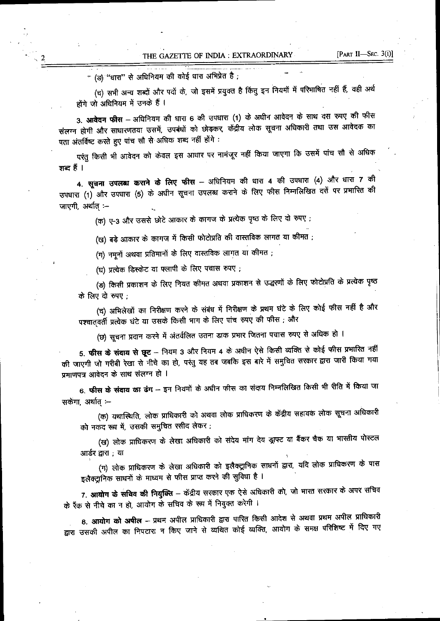- (ङ) "धारा" से अधिनियम की कोई धारा अभिप्रेत है ;

 $\sqrt{2}$ 

(च) सभी अन्य शब्दों और पदों के, जो इसमें प्रयुक्त है किंतु इन नियमों में परिभाषित नहीं हैं, वही अर्थ होंगे जो अधिनियम में उनके हैं ।

3. आवेदन फीस – अधिनियम की धारा 6 की उपधारा (1) के अधीन आवेदन के साथ दस रुपए की फीस संलग्न होगी और साधारणतया उसमें, उपबंधों को छोड़कर, केंद्रीय लोक सूचना अधिकारी तथा उस आवेदक का पता अंतर्विष्ट करते हुए पांच सौ से अधिक शब्द नहीं होंगे :

परंतु किसी भी आवेदन को केवल इस आधार पर नामंजूर नहीं किया जाएगा कि उसमें पांच सौ से अधिक शब्द हैं ।

4. सूचना उपलब्ध कराने के लिए फीस - अधिनियम की धारा 4 की उपधारा (4) और धारा 7 की उपधारा (1) और उपधारा (5) के अधीन सूचना उपलब्ध कराने के लिए फीस निम्नलिखित दरों पर प्रभारित की जाएगी, अर्थात :-

(क) ए-3 और उससे छोटे आकार के कागज के प्रत्येक पृष्ठ के लिए दो रुपए ;

(ख) बड़े आकार के कागज में किसी फोटोप्रति की वास्तविक लागत या कीमत ;

(ग) नमूनों अथवा प्रतिमानों के लिए वास्तविक लागत या कीमत ;

(घ) प्रत्येक डिस्केट या फ्लापी के लिए पचास रुपए;

(ङ) किसी प्रकाशन के लिए नियत कीमत अथवा प्रकाशन से उद्धरणों के लिए फोटोप्रति के प्रत्येक पृष्ठ के लिए दो रुपए

(च) अभिलेखों का निरीक्षण करने के संबंध में निरीक्षण के प्रथम घंटे के लिए कोई फीस नहीं है और पश्चातवर्ती प्रत्येक घंटे या उसके किसी भाग के लिए पांच रुपए की फीस ; और

(छ) सूचना प्रदान करने में अंतर्वलित उतना डाक प्रभार जितना पचास रुपए से अधिक हो ।

5. फीस के संदाय से छूट – नियम 3 और नियम 4 के अधीन ऐसे किसी व्यक्ति से कोई फीस प्रभारित नहीं की जाएगी जो गरीबी रेखा से नीचे का हो, परंतु यह तब जबकि इस बारे में समुचित सरकार द्वारा जारी किया गया प्रमाणपत्र आवेदन के साथ संलग्न हो ।

6. फीस के संदाय का ढंग – इन नियमों के अधीन फीस का संदाय निम्नलिखित किसी भी रीति में किया जा सकेगा, अर्थात् :--

(क) यथास्थिति, लोक प्राधिकारी को अथवा लोक प्राधिकरण के केंद्रीय सहायक लोक सूचना अधिकारी को नकद रूप में, उसकी समुचित रसीद लेकर;

(ख) लोक प्राधिकरण के लेखा अधिकारी को संदेय मांग देय ड्राफ्ट या बैंकर चैक या भारतीय पोस्टल आर्डर द्वारा : या

(ग) लोक प्राधिकरण के लेखा अधिकारी को इलैक्ट्रानिक साधनों द्वारा, यदि लोक प्राधिकरण के पास इलैक्ट्रानिक साधनों के माध्यम से फीस प्राप्त करने की सुविधा है ।

7. आयोग के सचिव की नियुक्ति – केंद्रीय सरकार एक ऐसे अधिकारी को, जो भारत सरकार के अपर सचिव के रैंक से नीचे का न हो, आयोग के सचिव के रूप में नियुक्त करेगी ।

8. आयोग को अपील – प्रथम अपील प्राधिकारी द्वारा पारित किसी आदेश से अथवा प्रथम अपील प्राधिकारी द्वारा उसकी अपील का निपटारा न किए जाने से व्यथित कोई व्यक्ति, आयोग के समक्ष परिशिष्ट में दिए गए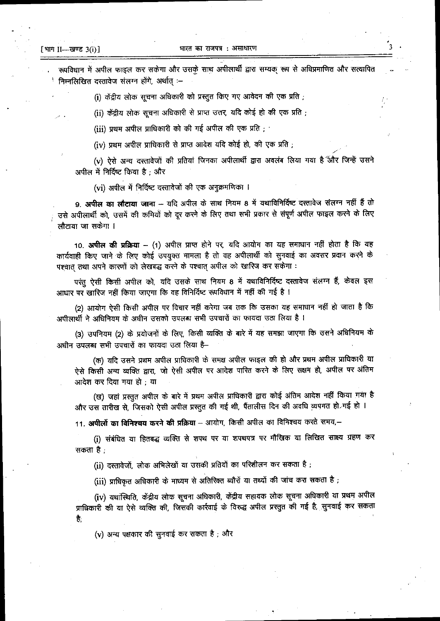भारत का राजपत्र : असाधारण

रूपविधान में अपील फाइल कर सकेगा और उसकूे साथ अपीलार्थी द्वारा सम्यक् रूप से अधिप्रमाणित और सत्यापित <sup>।</sup> निम्नलिखित दस्तावेज संलग्न होंगे, अर्थात :–

(i) केंद्रीय लोक सूचना अधिकारी को प्रस्तुत किए गए आवेदन की एक प्रति ;

(ii) केंद्रीय लोक सूचना अधिकारी से प्राप्त उत्तर, यदि कोई हो की एक प्रति ;

(iii) प्रथम अपील प्राधिकारी को की गई अपील की एक प्रति;

(iv) प्रथम अपील प्राधिकारी से प्राप्त आदेश यदि कोई हो, की एक प्रति;

(v) ऐसे अन्य दस्तावेजों की प्रतियां जिनका अपीलार्थी द्वारा अवलंब लिया गया है और जिन्हें उसने अपील में निर्दिष्ट किया है ; और

(vi) अपील में निर्दिष्ट दस्तावेजों की एक अनुक्रमणिका ।

9. अपील का लौटाया जाना – यदि अपील के साथ नियम 8 में यथाविनिर्दिष्ट दस्तावेज संलग्न नहीं हैं तो उसे अपीलार्थी को, उसमें की कमियों को दूर करने के लिए तथा सभी प्रकार से संपूर्ण अपील फाइल करने के लिए लौटाया जा सकेगा ।

10. **अपील की प्रक्रिया** – (1) अपील प्राप्त होने पर, यदि आयोग का यह समाधान नहीं होता है कि यह कार्यवाही किए जाने के लिए कोई उपयुक्त मामला है तो वह अपीलार्थी को सुनवाई का अवसर प्रदान करने के पश्चात तथा अपने कारणों को लेखबद्ध करने के पश्चात अपील को खारिज कर सकेगा :

परंतु ऐसी किसी अपील को, यदि उसके साथ नियम 8 में यथाविनिर्दिष्ट दस्तावेज संलग्न हैं, केवल इस आधार पर खारिज नहीं किया जाएगा कि वह विनिर्दिष्ट रूपविधान में नहीं की गई है ।

(2) आयोग ऐसी किसी अपील पर विचार नहीं करेगा जब तक कि उसका यह समाधान नहीं हो जाता है कि अपीलार्थी ने अधिनियम के अधीन उसको उपलब्ध सभी उपचारों का फायदा उठा लिया है ।

(3) उपनियम (2) के प्रयोजनों के लिए, किसी व्यक्ति के बारे में यह समझा जाएगा कि उसने अधिनियम के अधीन उपलब्ध सभी उपचारों का फायदा उठा लिया है–

(क) यदि उसने प्रथम अपील प्राधिकारी के समक्ष अपील फाइल की हो और प्रथम अपील प्राधिकारी या ऐसे किसी अन्य व्यक्ति द्वारा, जो ऐसी अपील पर आदेश पारित करने के लिए सक्षम हो, अपील पर अंतिम आदेश कर दिया गया हो ; या

(ख) जहां प्रस्तुत अपील के बारे में प्रथम अपील प्राधिकारी द्वारा कोई अंतिम आदेश नहीं किया गया है और उस तारीख से, जिसको ऐसी अपील प्रस्तुत की गई थी, पैंतालीस दिन की अवधि व्यपगत हो गई हो ।

11. अपीलों का विनिश्चय करने की प्रक्रिया - आयोग, किसी अपील का विनिश्चय करते समय,-

(i) संबंधित या हितबद्ध व्यक्ति से शपथ पर या शपथपत्र पर मौखिक या लिखित साक्ष्य ग्रहण कर सकता है :

(ii) दस्तावेजों, लोक अभिलेखों या उसकी प्रतियों का परिशीलन कर सकता है;

(iii) प्राधिकृत अधिकारी के माध्यम से अतिरिक्त ब्यौरों या तथ्यों की जांच करा सकता है ;

(iv) यथांस्थिति, केंद्रीय लोक सूचना अधिकारी, केंद्रीय सहायक लोक सूचना अधिकारी या प्रथम अपील प्राधिकारी की या ऐसे व्यक्ति की, जिसकी कार्रवाई के विरुद्ध अपील प्रस्तुत की गई है, सुनवाई कर सकता है.

(y) अन्य पक्षकार की सुनवाई कर सकता है ; और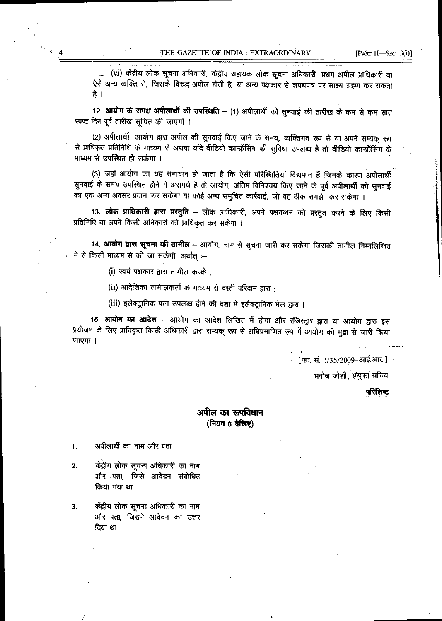(vi) केंद्रीय लोक सूचना अधिकारी, केंद्रीय सहायक लोक सूचना अधिकारी, प्रथम अपील प्राधिकारी या ऐसे अन्य व्यक्ति से, जिसके विरुद्ध अपील होती है, या अन्य पक्षकार से शपथपत्र पर साक्ष्य ग्रहण कर सकता है ।

12. आयोग के समक्ष अपीलार्थी की उपस्थिति - (1) अपीलार्थी को सुनवाई की तारीख के कम से कम सात स्पष्ट दिन पूर्व तारीख सूचित की जाएगी ।

(2) अपीलार्थी, आयोग द्वारा अपील की सुनवाई किए जाने के समय, व्यक्तिगत रूप से या अपने सम्यक् रूप से प्राधिकृत प्रतिनिधि के माध्यम से अथवा यदि वीडियो कान्फ्रेंसिंग की सुविधा उपलब्ध है तो वीडियो कान्फ्रेंसिंग के माध्यम से उपस्थित हो सकेगा ।

(3) जहां आयोग का यह समाधान हो जाता है कि ऐसी परिस्थितियां विद्यमान हैं जिनके कारण अपीलार्थी सुनवाई के समय उपस्थित होने में असमर्थ है तो आयोग, अंतिम विनिश्चय किए जाने के पूर्व अपीलार्थी को सुनवाई का एक अन्य अवसर प्रदान कर सकेगा या कोई अन्य समुचित कार्रवाई, जो वह ठीक समझे, कर सकेगा ।

13. **लोक प्राधिकारी द्वारा प्रस्तुति** – लोक प्राधिकारी, अपने पक्षकथन को प्रस्तुत करने के लिए किसी प्रतिनिधि या अपने किसी अधिकारी को प्राधिकृत कर सकेगा ।

14. आयोग द्वारा सूचना की तामील – आयोग, नाम से सूचना जारी कर सकेगा जिसकी तामील निम्नलिखित न में से किसी माध्यम से की जा सकेगी, अर्थात् :--

(i) स्वयं पक्षकार द्वारा तामील करके :

(ii) आदेशिका तामीलकर्ता के माध्यम से दस्ती परिदान द्वारा :

(iii) इलैक्ट्रानिक पता उपलब्ध होने की दशा में इलैक्ट्रानिक मेल द्वारा ।

15. आयोग का आदेश – आयोग का आदेश लिखित में होगा और रजिस्ट्रार द्वारा या आयोग द्वारा इस प्रयोजन के लिए प्राधिकृत किसी अधिकारी द्वारा सम्यक् रूप से अधिप्रमाणित रूप में आयोग की मुद्रा से जारी किया जाएगा ।

[ फा. सं. 1/35/2009-आई.आर. ]

मनोज जोशी, संयुक्त सचिव

## परिशिष्ट

## अपील का रूपविधान (नियम 8 देखिए)

अपीलार्थी का नाम और पता 1.

केंद्रीय लोक सूचना अधिकारी का नाम  $2.$ और पता, जिसे आवेदन संबोधित किया गया था

3. केंद्रीय लोक सूचना अधिकारी का नाम और पता, जिसने आवेदन का उत्तर दिया था